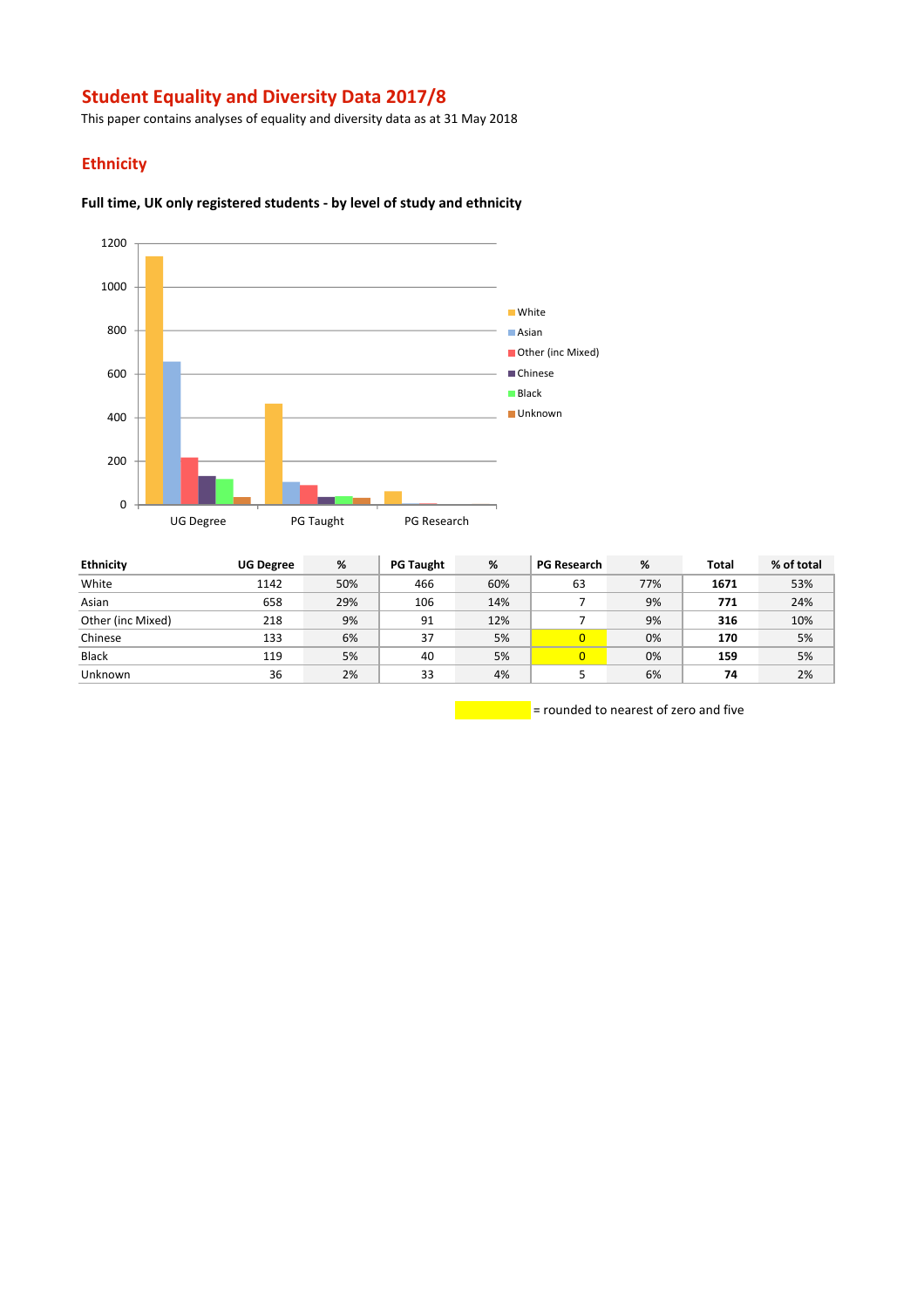# **Student Equality and Diversity Data 2017/8**

This paper contains analyses of equality and diversity data as at 31 May 2018

## **Ethnicity**

#### **Full time, UK only registered students - by level of study and ethnicity**



| <b>Ethnicity</b>  | <b>UG Degree</b> | %   | <b>PG Taught</b> | %   | <b>PG Research</b> | %   | <b>Total</b> | % of total |
|-------------------|------------------|-----|------------------|-----|--------------------|-----|--------------|------------|
| White             | 1142             | 50% | 466              | 60% | 63                 | 77% | 1671         | 53%        |
| Asian             | 658              | 29% | 106              | 14% |                    | 9%  | 771          | 24%        |
| Other (inc Mixed) | 218              | 9%  | 91               | 12% |                    | 9%  | 316          | 10%        |
| Chinese           | 133              | 6%  | 37               | 5%  | $\overline{0}$     | 0%  | 170          | 5%         |
| Black             | 119              | 5%  | 40               | 5%  | $\overline{0}$     | 0%  | 159          | 5%         |
| <b>Unknown</b>    | 36               | 2%  | 33               | 4%  |                    | 6%  | 74           | 2%         |

= rounded to nearest of zero and five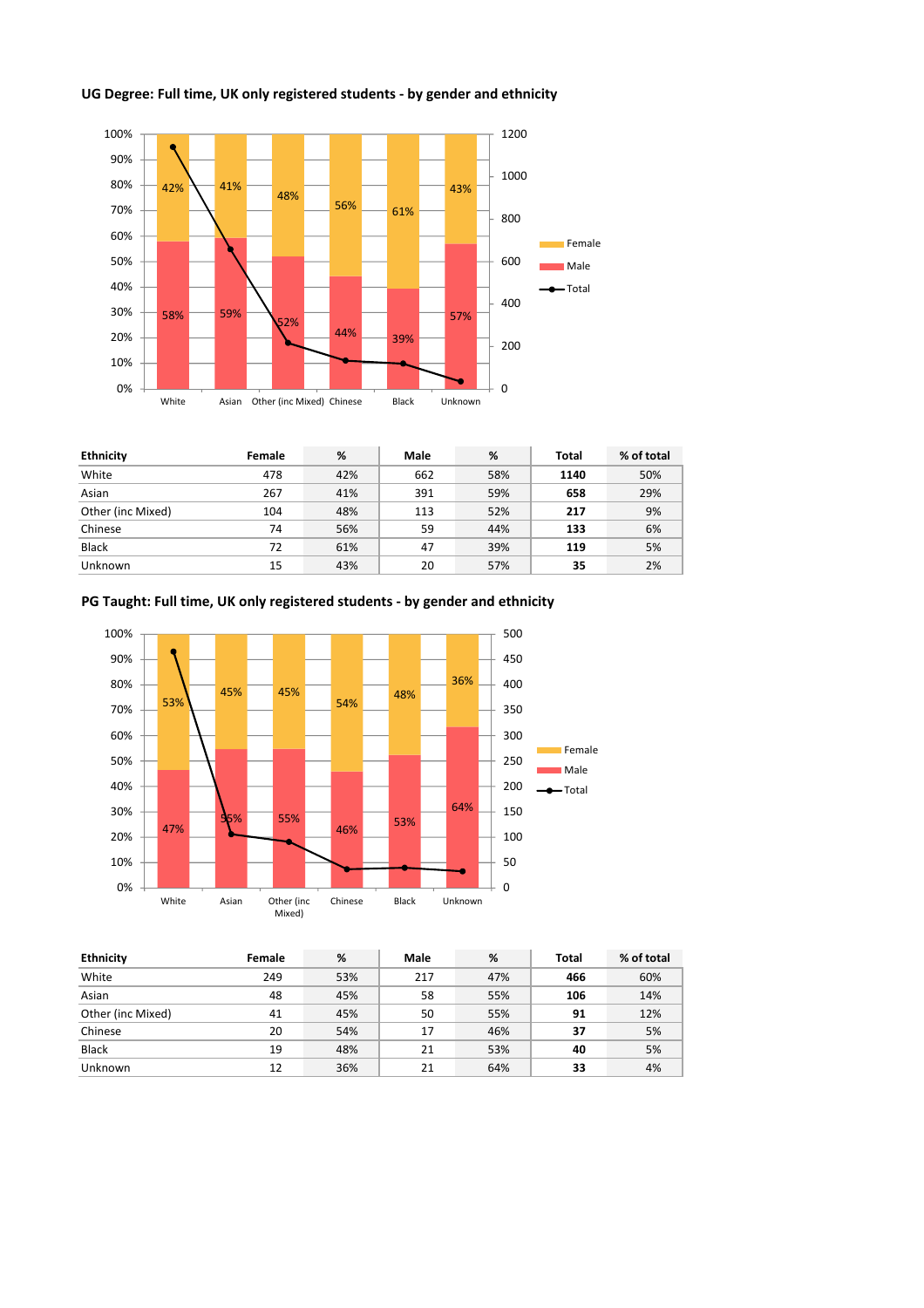



| <b>Ethnicity</b>  | Female | %   | Male | %   | Total | % of total |
|-------------------|--------|-----|------|-----|-------|------------|
| White             | 478    | 42% | 662  | 58% | 1140  | 50%        |
| Asian             | 267    | 41% | 391  | 59% | 658   | 29%        |
| Other (inc Mixed) | 104    | 48% | 113  | 52% | 217   | 9%         |
| Chinese           | 74     | 56% | 59   | 44% | 133   | 6%         |
| <b>Black</b>      | 72     | 61% | 47   | 39% | 119   | 5%         |
| Unknown           | 15     | 43% | 20   | 57% | 35    | 2%         |

**PG Taught: Full time, UK only registered students - by gender and ethnicity**



| <b>Ethnicity</b>  | Female | %   | Male | %   | <b>Total</b> | % of total |
|-------------------|--------|-----|------|-----|--------------|------------|
| White             | 249    | 53% | 217  | 47% | 466          | 60%        |
| Asian             | 48     | 45% | 58   | 55% | 106          | 14%        |
| Other (inc Mixed) | 41     | 45% | 50   | 55% | 91           | 12%        |
| Chinese           | 20     | 54% | 17   | 46% | 37           | 5%         |
| <b>Black</b>      | 19     | 48% | 21   | 53% | 40           | 5%         |
| Unknown           | 12     | 36% | 21   | 64% | 33           | 4%         |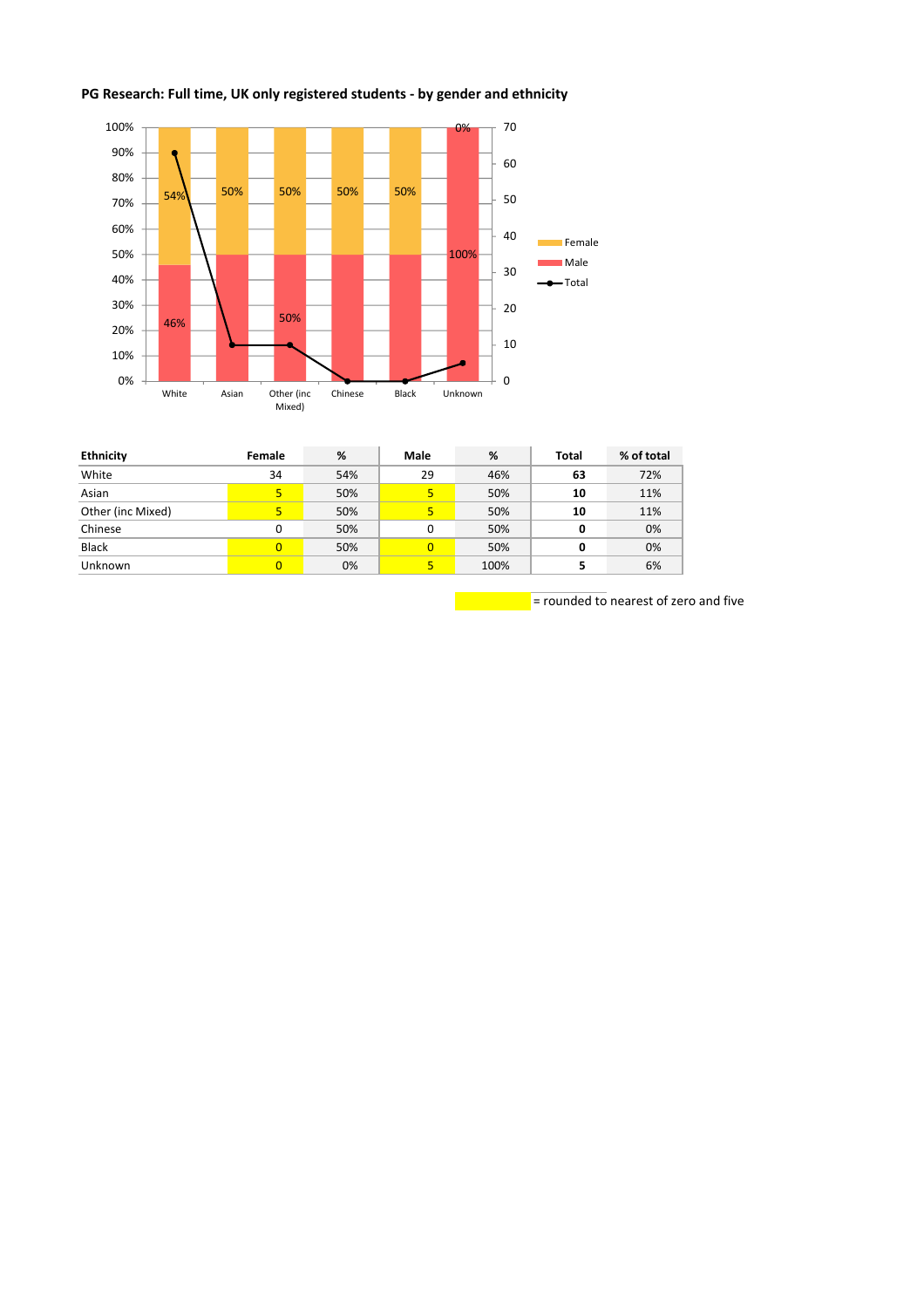## **PG Research: Full time, UK only registered students - by gender and ethnicity**



| <b>Ethnicity</b>  | Female | %   | <b>Male</b> | %    | <b>Total</b> | % of total |
|-------------------|--------|-----|-------------|------|--------------|------------|
| White             | 34     | 54% | 29          | 46%  | 63           | 72%        |
| Asian             | 5.     | 50% | 5           | 50%  | 10           | 11%        |
| Other (inc Mixed) | 5      | 50% | 5           | 50%  | 10           | 11%        |
| Chinese           |        | 50% | 0           | 50%  | 0            | 0%         |
| <b>Black</b>      | 0      | 50% | $\Omega$    | 50%  | 0            | 0%         |
| Unknown           | 0      | 0%  | 5           | 100% |              | 6%         |

 $\frac{1}{2}$  rounded to nearest of zero and five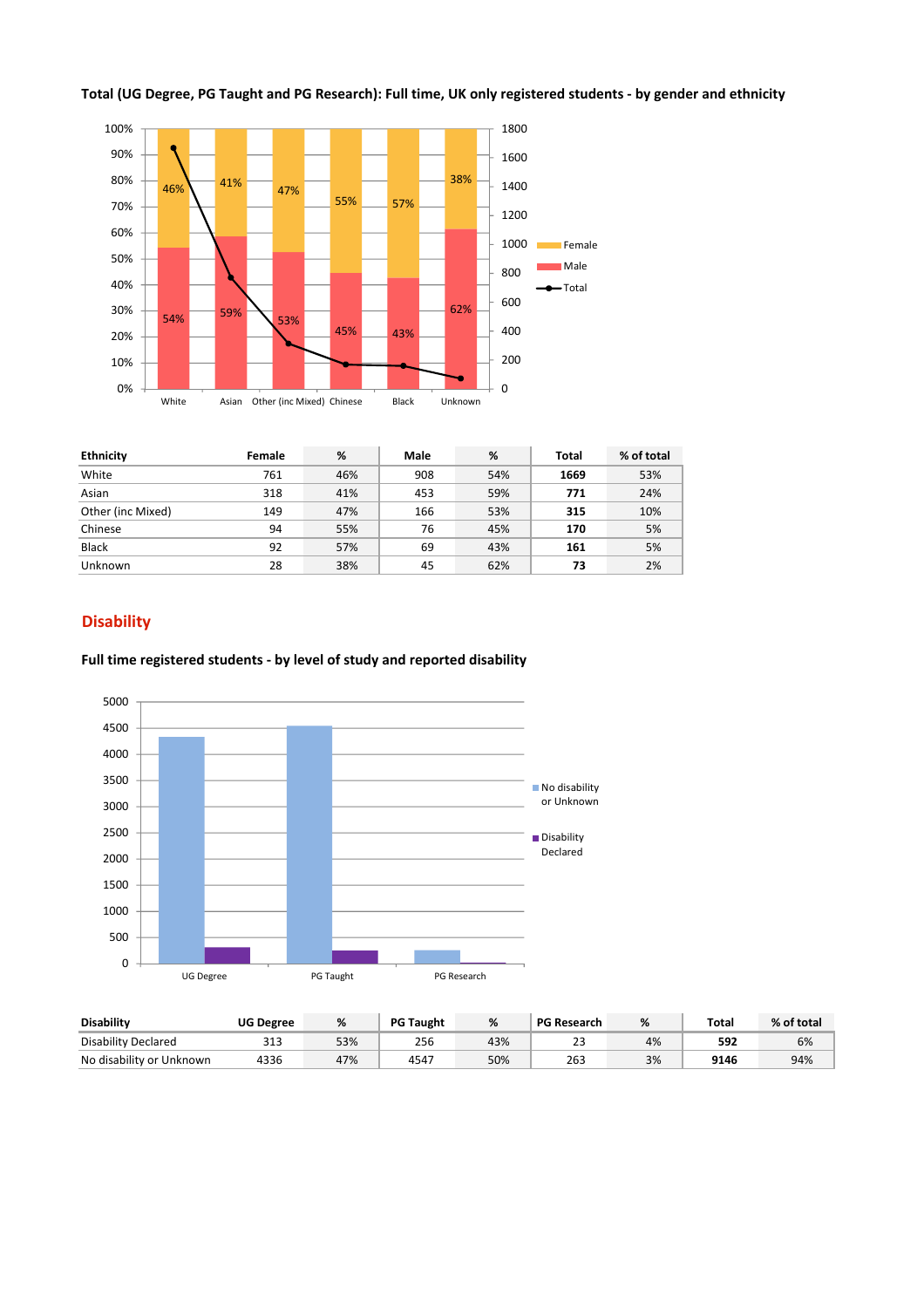



| <b>Ethnicity</b>  | Female | %   | <b>Male</b> | %   | Total | % of total |
|-------------------|--------|-----|-------------|-----|-------|------------|
| White             | 761    | 46% | 908         | 54% | 1669  | 53%        |
| Asian             | 318    | 41% | 453         | 59% | 771   | 24%        |
| Other (inc Mixed) | 149    | 47% | 166         | 53% | 315   | 10%        |
| Chinese           | 94     | 55% | 76          | 45% | 170   | 5%         |
| <b>Black</b>      | 92     | 57% | 69          | 43% | 161   | 5%         |
| Unknown           | 28     | 38% | 45          | 62% | 73    | 2%         |

## **Disability**

#### **Full time registered students - by level of study and reported disability**



| <b>Disability</b>        | <b>UG Degree</b> | %   | <b>PG Taught</b> | %   | <b>PG Research</b> |    | Total | % of total |
|--------------------------|------------------|-----|------------------|-----|--------------------|----|-------|------------|
| Disability Declared      | 313              | 53% | 256              | 43% | ر ے                | 4% | 592   | 6%         |
| No disability or Unknown | 4336             | 47% | 4547             | 50% | 263                | 3% | 9146  | 94%        |